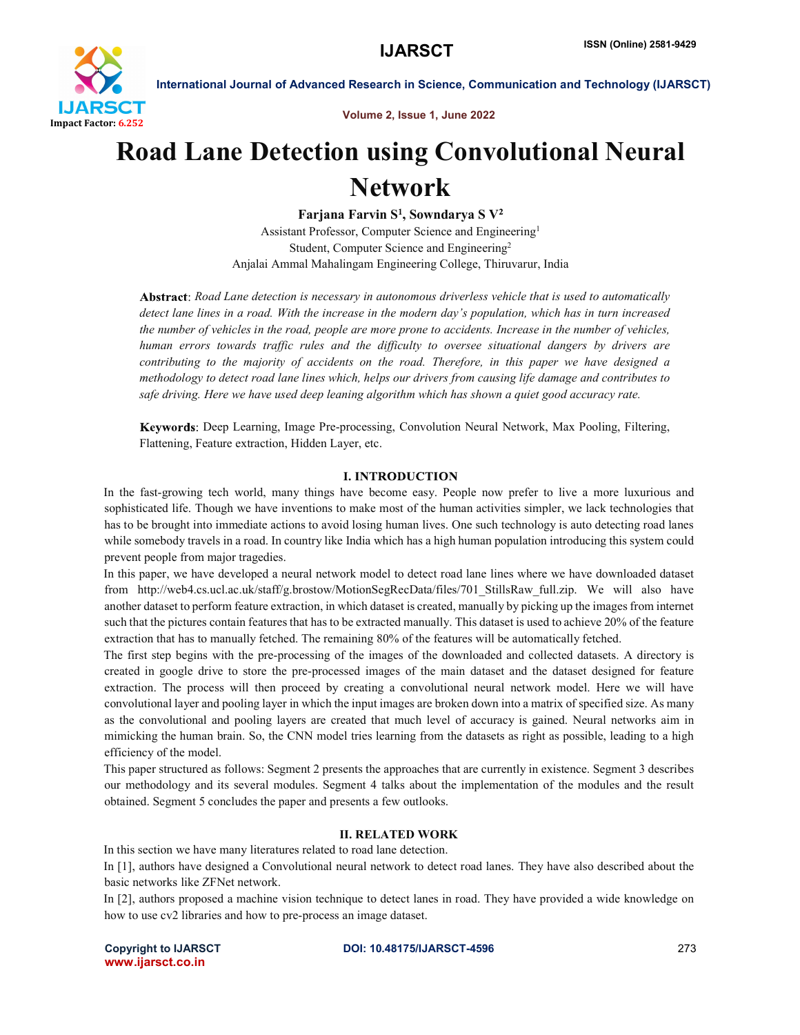

Volume 2, Issue 1, June 2022

# Road Lane Detection using Convolutional Neural Network

Farjana Farvin  $S^1$ , Sowndarya S  $V^2$ Assistant Professor, Computer Science and Engineering1 Student, Computer Science and Engineering2 Anjalai Ammal Mahalingam Engineering College, Thiruvarur, India

*Road Lane detection is necessary in autonomous driverless vehicle that is used to automatically detect lane lines in a road. With the increase in the modern day's population, which has in turn increased the number of vehicles in the road, people are more prone to accidents. Increase in the number of vehicles, human errors towards traffic rules and the difficulty to oversee situational dangers by drivers are contributing to the majority of accidents on the road. Therefore, in this paper we have designed a methodology to detect road lane lines which, helps our drivers from causing life damage and contributes to safe driving. Here we have used deep leaning algorithm which has shown a quiet good accuracy rate.*

Deep Learning, Image Pre-processing, Convolution Neural Network, Max Pooling, Filtering, Flattening, Feature extraction, Hidden Layer, etc.

### **I. INTRODUCTION**

In the fast-growing tech world, many things have become easy. People now prefer to live a more luxurious and sophisticated life. Though we have inventions to make most of the human activities simpler, we lack technologies that has to be brought into immediate actions to avoid losing human lives. One such technology is auto detecting road lanes while somebody travels in a road. In country like India which has a high human population introducing this system could prevent people from major tragedies.

In this paper, we have developed a neural network model to detect road lane lines where we have downloaded dataset from http://web4.cs.ucl.ac.uk/staff/g.brostow/MotionSegRecData/files/701\_StillsRaw\_full.zip. We will also have another dataset to perform feature extraction, in which dataset is created, manually by picking up the images from internet such that the pictures contain features that has to be extracted manually. This dataset is used to achieve 20% of the feature extraction that has to manually fetched. The remaining 80% of the features will be automatically fetched.

The first step begins with the pre-processing of the images of the downloaded and collected datasets. A directory is created in google drive to store the pre-processed images of the main dataset and the dataset designed for feature extraction. The process will then proceed by creating a convolutional neural network model. Here we will have convolutional layer and pooling layer in which the input images are broken down into a matrix of specified size. As many as the convolutional and pooling layers are created that much level of accuracy is gained. Neural networks aim in mimicking the human brain. So, the CNN model tries learning from the datasets as right as possible, leading to a high efficiency of the model.

This paper structured as follows: Segment 2 presents the approaches that are currently in existence. Segment 3 describes our methodology and its several modules. Segment 4 talks about the implementation of the modules and the result obtained. Segment 5 concludes the paper and presents a few outlooks.

### II. RELATED WORK

In this section we have many literatures related to road lane detection.

In [1], authors have designed a Convolutional neural network to detect road lanes. They have also described about the basic networks like ZFNet network.

In [2], authors proposed a machine vision technique to detect lanes in road. They have provided a wide knowledge on how to use cv2 libraries and how to pre-process an image dataset.

www.ijarsct.co.in

Copyright to IJARSCT **DOI: 10.48175/IJARSCT-4596** 273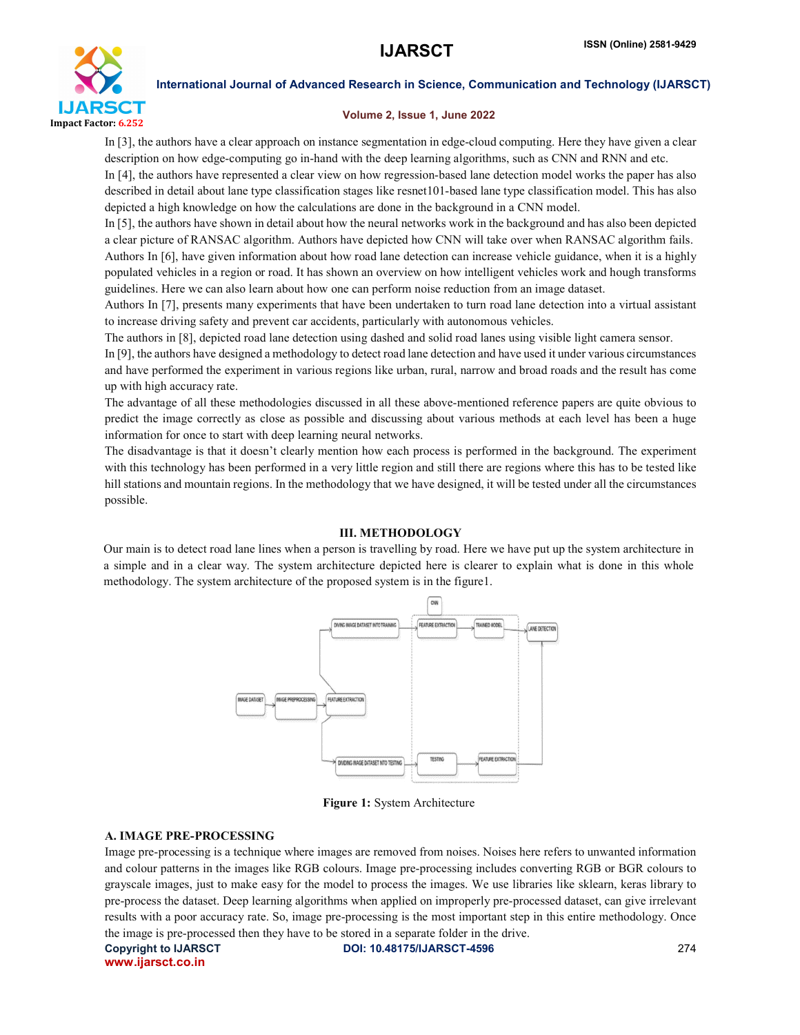

### Volume 2, Issue 1, June 2022

In [3], the authors have a clear approach on instance segmentation in edge-cloud computing. Here they have given a clear description on how edge-computing go in-hand with the deep learning algorithms, such as CNN and RNN and etc.

In [4], the authors have represented a clear view on how regression-based lane detection model works the paper has also described in detail about lane type classification stages like resnet101-based lane type classification model. This has also depicted a high knowledge on how the calculations are done in the background in a CNN model.

In [5], the authors have shown in detail about how the neural networks work in the background and has also been depicted a clear picture of RANSAC algorithm. Authors have depicted how CNN will take over when RANSAC algorithm fails. Authors In [6], have given information about how road lane detection can increase vehicle guidance, when it is a highly populated vehicles in a region or road. It has shown an overview on how intelligent vehicles work and hough transforms guidelines. Here we can also learn about how one can perform noise reduction from an image dataset.

Authors In [7], presents many experiments that have been undertaken to turn road lane detection into a virtual assistant to increase driving safety and prevent car accidents, particularly with autonomous vehicles.

The authors in [8], depicted road lane detection using dashed and solid road lanes using visible light camera sensor.

In [9], the authors have designed a methodology to detect road lane detection and have used it under various circumstances and have performed the experiment in various regions like urban, rural, narrow and broad roads and the result has come up with high accuracy rate.

The advantage of all these methodologies discussed in all these above-mentioned reference papers are quite obvious to predict the image correctly as close as possible and discussing about various methods at each level has been a huge information for once to start with deep learning neural networks.

The disadvantage is that it doesn't clearly mention how each process is performed in the background. The experiment with this technology has been performed in a very little region and still there are regions where this has to be tested like hill stations and mountain regions. In the methodology that we have designed, it will be tested under all the circumstances possible.

### III. METHODOLOGY

Our main is to detect road lane lines when a person is travelling by road. Here we have put up the system architecture in a simple and in a clear way. The system architecture depicted here is clearer to explain what is done in this whole methodology. The system architecture of the proposed system is in the figure1.



Figure 1: System Architecture

### A. IMAGE PRE-PROCESSING

Image pre-processing is a technique where images are removed from noises. Noises here refers to unwanted information and colour patterns in the images like RGB colours. Image pre-processing includes converting RGB or BGR colours to grayscale images, just to make easy for the model to process the images. We use libraries like sklearn, keras library to pre-process the dataset. Deep learning algorithms when applied on improperly pre-processed dataset, can give irrelevant results with a poor accuracy rate. So, image pre-processing is the most important step in this entire methodology. Once the image is pre-processed then they have to be stored in a separate folder in the drive.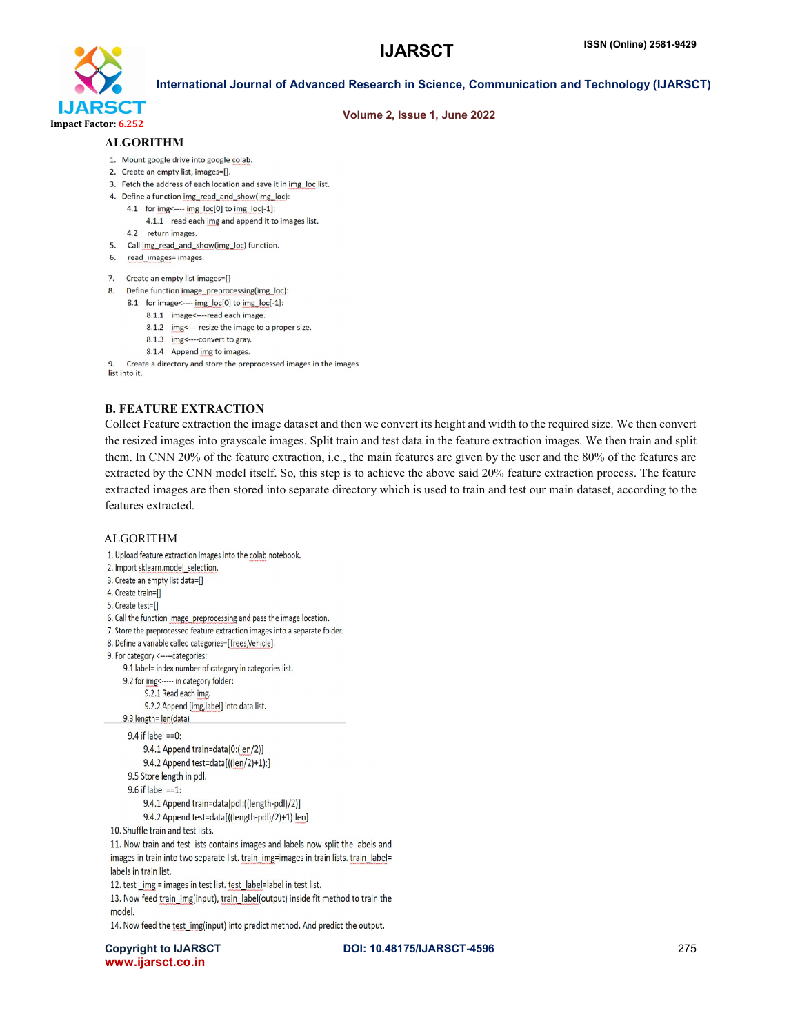

### Volume 2, Issue 1, June 2022

### ALGORITHM

- 1. Mount google drive into google colab.
- 2. Create an empty list, images=[].
- 3. Fetch the address of each location and save it in img loc list.
- 4. Define a function img\_read\_and\_show(img\_loc):
	- 4.1 for img<---- img\_loc[0] to img\_loc[-1]:
		- 4.1.1 read each img and append it to images list.
	- 4.2 return images.
- 5. Call img\_read\_and\_show(img\_loc) function.
- 6. read\_images= images.
- 7. Create an empty list images=[]
- 8. Define function image\_preprocessing(img\_loc):
	- 8.1 for image <---- img\_loc[0] to img\_loc[-1]:
		- 8.1.1 image <---- read each image
			- 8.1.2 img <---- resize the image to a proper size.
			- 8.1.3 img <---- convert to gray.
			- 8.1.4 Append img to images

Create a directory and store the preprocessed images in the images list into it.

### B. FEATURE EXTRACTION

Collect Feature extraction the image dataset and then we convert its height and width to the required size. We then convert the resized images into grayscale images. Split train and test data in the feature extraction images. We then train and split them. In CNN 20% of the feature extraction, i.e., the main features are given by the user and the 80% of the features are extracted by the CNN model itself. So, this step is to achieve the above said 20% feature extraction process. The feature extracted images are then stored into separate directory which is used to train and test our main dataset, according to the features extracted.

### ALGORITHM

1. Upload feature extraction images into the colab notebook. 2. Import sklearn.model\_selection.

- 3. Create an empty list data=[]
- 4. Create train=[]
- 5. Create test=[]

6. Call the function image\_preprocessing and pass the image location.

- 7. Store the preprocessed feature extraction images into a separate folder.
- 8. Define a variable called categories=[Trees,Vehicle].
- 9. For category <-----categories:

9.1 label= index number of category in categories list.

- 9.2 for img <----- in category folder:
	- 9.2.1 Read each img.
	- 9.2.2 Append [img, label] into data list.
- 9.3 length= len(data)

```
9.4 if label == 0:
```
9.4.1 Append train=data[0:(len/2)] 9.4.2 Append test=data[((len/2)+1):]

9.5 Store length in pdl.

 $9.6$  if label ==1:

9.4.1 Append train=data[pdl:((length-pdl)/2)]

9.4.2 Append test=data[((length-pdl)/2)+1):len]

```
10. Shuffle train and test lists.
```
11. Now train and test lists contains images and labels now split the labels and images in train into two separate list. train\_img=images in train lists. train\_label= labels in train list.

12. test\_img = images in test list. test\_label=label in test list.

13. Now feed train\_img(input), train\_label(output) inside fit method to train the model.

14. Now feed the test\_img(input) into predict method. And predict the output.

Copyright to IJARSCT **DOI: 10.48175/IJARSCT-4596** 275 www.ijarsct.co.in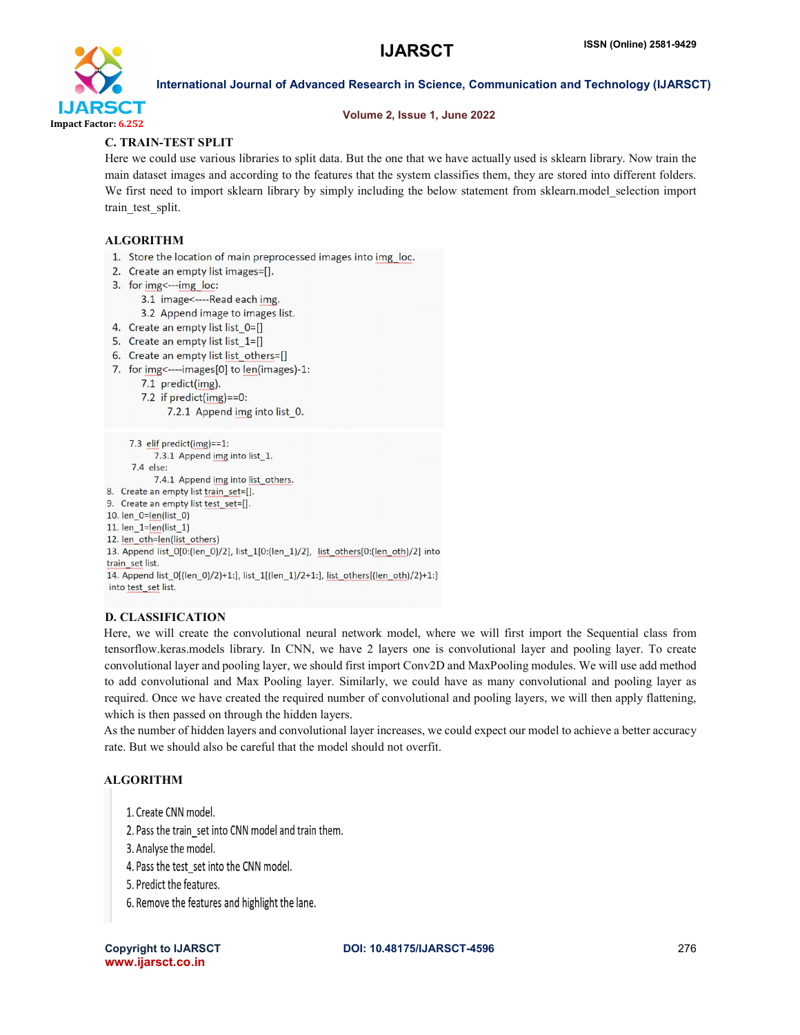

### Volume 2, Issue 1, June 2022

### C. TRAIN-TEST SPLIT

Here we could use various libraries to split data. But the one that we have actually used is sklearn library. Now train the main dataset images and according to the features that the system classifies them, they are stored into different folders. We first need to import sklearn library by simply including the below statement from sklearn.model selection import train\_test\_split.

### ALGORITHM

- 1. Store the location of main preprocessed images into img\_loc.
- 2. Create an empty list images=[].
- 3. for img <--- img loc:
	- 3.1 image <----Read each img.
	- 3.2 Append image to images list.
- 4. Create an empty list list  $0 = []$
- 5. Create an empty list list 1=[]
- 6. Create an empty list list others=[]
- 7. for img <---- images [0] to len(images)-1:
	- 7.1 predict(img).
	- 7.2 if  $predict(img)=0$ :

```
7.2.1 Append img into list_0.
```

```
7.3 elif predict(img)==1:
           7.3.1 Append img into list_1.
      7.4 else:
           7.4.1 Append img into list others.
8. Create an empty list train_set=[].
9. Create an empty list test_set=[].
10. len_0=len(list_0)
11. len_1=len(list_1)
12. <u>len_oth=len(list_others)</u>
13. Append list_0[0:(len_0)/2], list_1[0:(len_1)/2], list_others[0:(len_oth)/2] into
train set list.
14. Append list_0[(len_0)/2)+1:], list_1[(len_1)/2+1:], list_others[(len_oth)/2)+1:]
into test_set list.
```
### D. CLASSIFICATION

Here, we will create the convolutional neural network model, where we will first import the Sequential class from tensorflow.keras.models library. In CNN, we have 2 layers one is convolutional layer and pooling layer. To create convolutional layer and pooling layer, we should first import Conv2D and MaxPooling modules. We will use add method to add convolutional and Max Pooling layer. Similarly, we could have as many convolutional and pooling layer as required. Once we have created the required number of convolutional and pooling layers, we will then apply flattening, which is then passed on through the hidden layers.

As the number of hidden layers and convolutional layer increases, we could expect our model to achieve a better accuracy rate. But we should also be careful that the model should not overfit.

### **ALGORITHM**

- 1. Create CNN model.
- 2. Pass the train set into CNN model and train them.
- 3. Analyse the model.
- 4. Pass the test set into the CNN model.
- 5. Predict the features.
- 6. Remove the features and highlight the lane.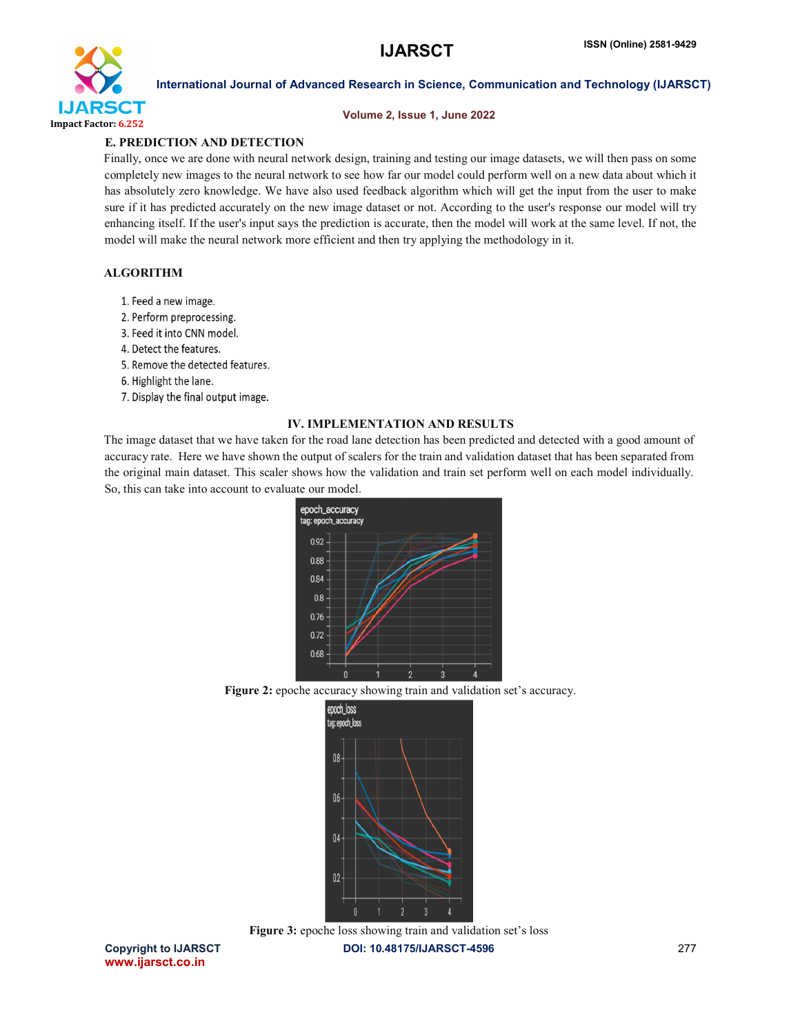

### Volume 2, Issue 1, June 2022

### E. PREDICTION AND DETECTION

Finally, once we are done with neural network design, training and testing our image datasets, we will then pass on some completely new images to the neural network to see how far our model could perform well on a new data about which it has absolutely zero knowledge. We have also used feedback algorithm which will get the input from the user to make sure if it has predicted accurately on the new image dataset or not. According to the user's response our model will try enhancing itself. If the user's input says the prediction is accurate, then the model will work at the same level. If not, the model will make the neural network more efficient and then try applying the methodology in it.

### ALGORITHM

- 1. Feed a new image.
- 2. Perform preprocessing.
- 3. Feed it into CNN model.
- 4. Detect the features.
- 5. Remove the detected features.
- 6. Highlight the lane.
- 7. Display the final output image.

### IV. IMPLEMENTATION AND RESULTS

The image dataset that we have taken for the road lane detection has been predicted and detected with a good amount of accuracy rate. Here we have shown the output of scalers for the train and validation dataset that has been separated from the original main dataset. This scaler shows how the validation and train set perform well on each model individually. So, this can take into account to evaluate our model.



Figure 2: epoche accuracy showing train and validation set's accuracy.



Copyright to IJARSCT **DOI: 10.48175/IJARSCT-4596** 277 Figure 3: epoche loss showing train and validation set's loss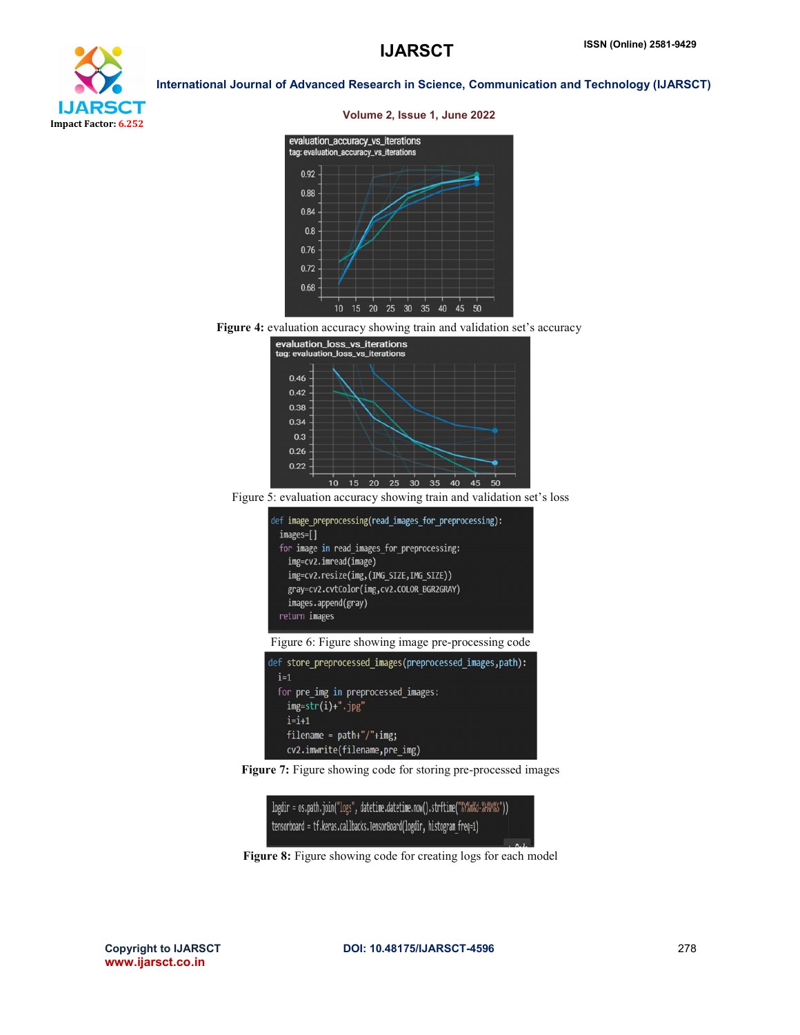

### Volume 2, Issue 1, June 2022



Figure 4: evaluation accuracy showing train and validation set's accuracy



Figure 5: evaluation accuracy showing train and validation set's loss





Figure 7: Figure showing code for storing pre-processed images



Figure 8: Figure showing code for creating logs for each model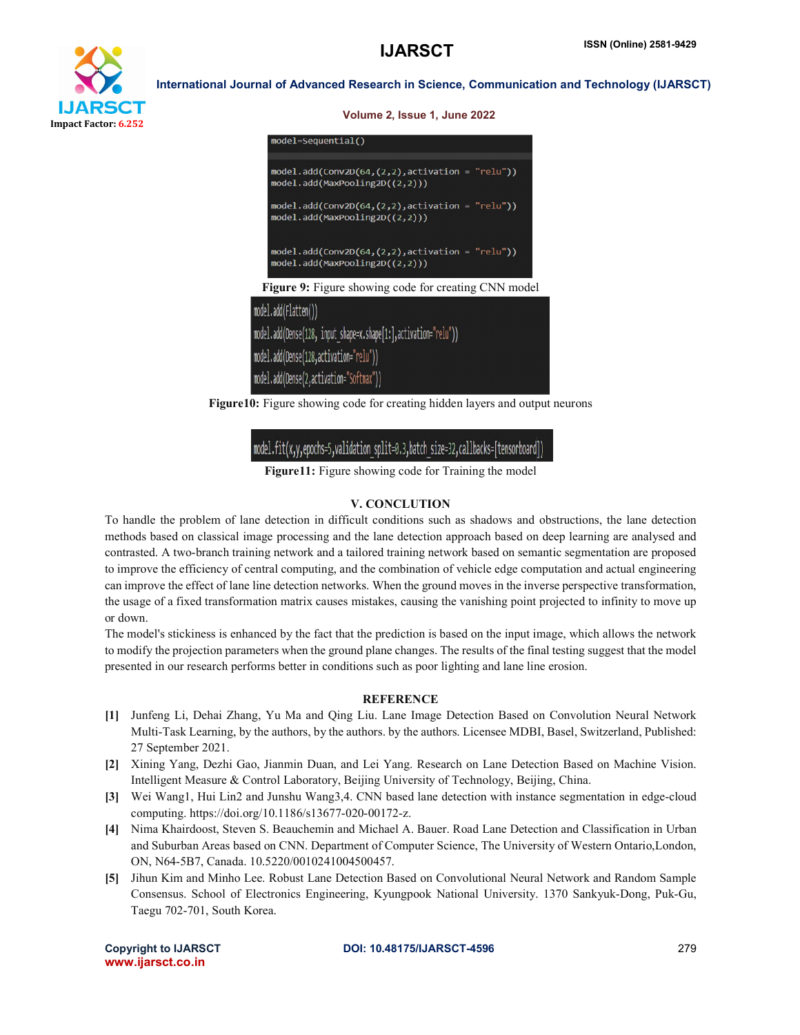

| Volume 2, Issue 1, June 2022                                                          |
|---------------------------------------------------------------------------------------|
| model=Sequential()                                                                    |
| $model.add(Conv2D(64, (2,2), activation = "relu"))$<br>model.add(MaxPooling2D((2,2))) |
| $model.add(Conv2D(64, (2,2), activation = "relu")$<br>model.add(MaxPooling2D((2,2)))  |
| $model.add(Conv2D(64, (2,2), activation = "relu"))$<br>model.add(MaxPooling2D((2,2))) |
| <b>Figure 9:</b> Figure showing code for creating CNN model                           |
| del.add(Flatten())                                                                    |
| del.add(Dense(128, input shape=x.shape[1:],activation="relu"))                        |
| del.add(Dense(128,activation="relu"))                                                 |
| del.add(Dense(2,activation="Softmax"))                                                |

Figure10: Figure showing code for creating hidden layers and output neurons

## model.fit(x,y,epochs=5,validation split=0.3,batch size=32,callbacks=[tensorboard])

Figure11: Figure showing code for Training the model

### V. CONCLUTION

To handle the problem of lane detection in difficult conditions such as shadows and obstructions, the lane detection methods based on classical image processing and the lane detection approach based on deep learning are analysed and contrasted. A two-branch training network and a tailored training network based on semantic segmentation are proposed to improve the efficiency of central computing, and the combination of vehicle edge computation and actual engineering can improve the effect of lane line detection networks. When the ground moves in the inverse perspective transformation, the usage of a fixed transformation matrix causes mistakes, causing the vanishing point projected to infinity to move up or down.

The model's stickiness is enhanced by the fact that the prediction is based on the input image, which allows the network to modify the projection parameters when the ground plane changes. The results of the final testing suggest that the model presented in our research performs better in conditions such as poor lighting and lane line erosion.

### **REFERENCE**

- [1] Junfeng Li, Dehai Zhang, Yu Ma and Qing Liu. Lane Image Detection Based on Convolution Neural Network Multi-Task Learning, by the authors, by the authors. by the authors. Licensee MDBI, Basel, Switzerland, Published: 27 September 2021.
- [2] Xining Yang, Dezhi Gao, Jianmin Duan, and Lei Yang. Research on Lane Detection Based on Machine Vision. Intelligent Measure & Control Laboratory, Beijing University of Technology, Beijing, China.
- [3] Wei Wang1, Hui Lin2 and Junshu Wang3,4. CNN based lane detection with instance segmentation in edge-cloud computing. https://doi.org/10.1186/s13677-020-00172-z.
- [4] Nima Khairdoost, Steven S. Beauchemin and Michael A. Bauer. Road Lane Detection and Classification in Urban and Suburban Areas based on CNN. Department of Computer Science, The University of Western Ontario,London, ON, N64-5B7, Canada. 10.5220/0010241004500457.
- [5] Jihun Kim and Minho Lee. Robust Lane Detection Based on Convolutional Neural Network and Random Sample Consensus. School of Electronics Engineering, Kyungpook National University. 1370 Sankyuk-Dong, Puk-Gu, Taegu 702-701, South Korea.